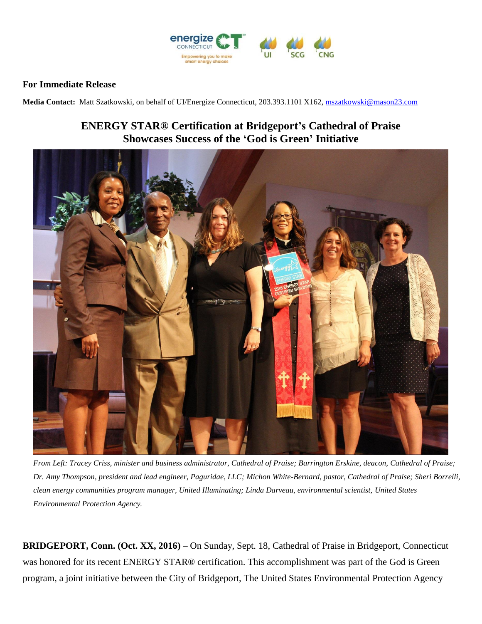

## **For Immediate Release**

**Media Contact:** Matt Szatkowski, on behalf of UI/Energize Connecticut, 203.393.1101 X162[, mszatkowski@mason23.com](mailto:mszatkowski@mason23.com)

## **ENERGY STAR® Certification at Bridgeport's Cathedral of Praise Showcases Success of the 'God is Green' Initiative**



*From Left: Tracey Criss, minister and business administrator, Cathedral of Praise; Barrington Erskine, deacon, Cathedral of Praise; Dr. Amy Thompson, president and lead engineer, Paguridae, LLC; Michon White-Bernard, pastor, Cathedral of Praise; Sheri Borrelli, clean energy communities program manager, United Illuminating; Linda Darveau, environmental scientist, United States Environmental Protection Agency.*

**BRIDGEPORT, Conn. (Oct. XX, 2016)** – On Sunday, Sept. 18, Cathedral of Praise in Bridgeport, Connecticut was honored for its recent ENERGY STAR® certification. This accomplishment was part of the God is Green program, a joint initiative between the City of Bridgeport, The United States Environmental Protection Agency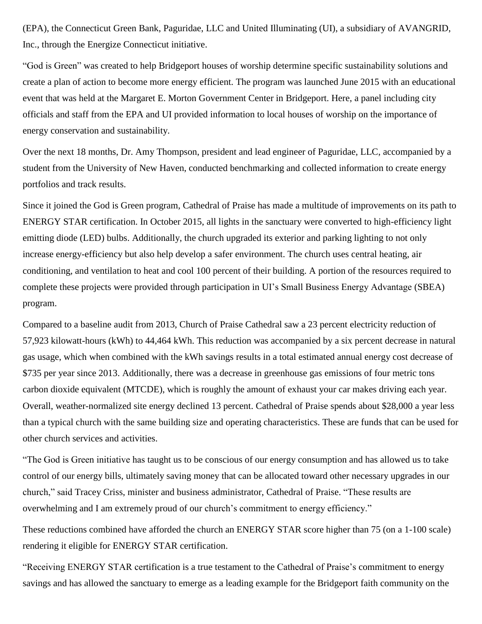(EPA), the Connecticut Green Bank, Paguridae, LLC and United Illuminating (UI), a subsidiary of AVANGRID, Inc., through the Energize Connecticut initiative.

"God is Green" was created to help Bridgeport houses of worship determine specific sustainability solutions and create a plan of action to become more energy efficient. The program was launched June 2015 with an educational event that was held at the Margaret E. Morton Government Center in Bridgeport. Here, a panel including city officials and staff from the EPA and UI provided information to local houses of worship on the importance of energy conservation and sustainability.

Over the next 18 months, Dr. Amy Thompson, president and lead engineer of Paguridae, LLC, accompanied by a student from the University of New Haven, conducted benchmarking and collected information to create energy portfolios and track results.

Since it joined the God is Green program, Cathedral of Praise has made a multitude of improvements on its path to ENERGY STAR certification. In October 2015, all lights in the sanctuary were converted to high-efficiency light emitting diode (LED) bulbs. Additionally, the church upgraded its exterior and parking lighting to not only increase energy-efficiency but also help develop a safer environment. The church uses central heating, air conditioning, and ventilation to heat and cool 100 percent of their building. A portion of the resources required to complete these projects were provided through participation in UI's Small Business Energy Advantage (SBEA) program.

Compared to a baseline audit from 2013, Church of Praise Cathedral saw a 23 percent electricity reduction of 57,923 kilowatt-hours (kWh) to 44,464 kWh. This reduction was accompanied by a six percent decrease in natural gas usage, which when combined with the kWh savings results in a total estimated annual energy cost decrease of \$735 per year since 2013. Additionally, there was a decrease in greenhouse gas emissions of four metric tons carbon dioxide equivalent (MTCDE), which is roughly the amount of exhaust your car makes driving each year. Overall, weather-normalized site energy declined 13 percent. Cathedral of Praise spends about \$28,000 a year less than a typical church with the same building size and operating characteristics. These are funds that can be used for other church services and activities.

"The God is Green initiative has taught us to be conscious of our energy consumption and has allowed us to take control of our energy bills, ultimately saving money that can be allocated toward other necessary upgrades in our church," said Tracey Criss, minister and business administrator, Cathedral of Praise. "These results are overwhelming and I am extremely proud of our church's commitment to energy efficiency."

These reductions combined have afforded the church an ENERGY STAR score higher than 75 (on a 1-100 scale) rendering it eligible for ENERGY STAR certification.

"Receiving ENERGY STAR certification is a true testament to the Cathedral of Praise's commitment to energy savings and has allowed the sanctuary to emerge as a leading example for the Bridgeport faith community on the